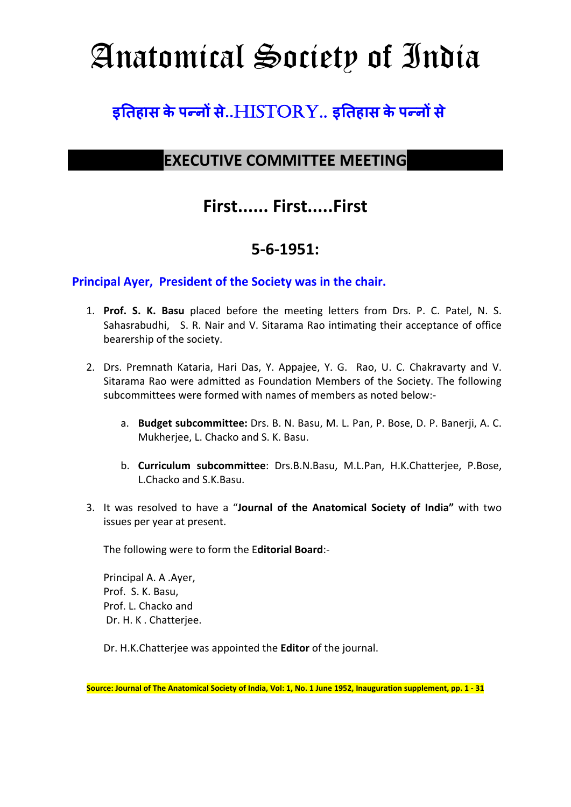# Anatomical Society of India

## $\mathbf{s}$ तिहास के पन्नों से..HISTORY.. इतिहास के पन्नों से

#### **EXECUTIVE COMMITTEE MEETING**

### **First...... First.....First**

#### **5-6-1951:**

#### **Principal Ayer, President of the Society was in the chair.**

- 1. **Prof. S. K. Basu** placed before the meeting letters from Drs. P. C. Patel, N. S. Sahasrabudhi, S. R. Nair and V. Sitarama Rao intimating their acceptance of office bearership of the society.
- 2. Drs. Premnath Kataria, Hari Das, Y. Appajee, Y. G. Rao, U. C. Chakravarty and V. Sitarama Rao were admitted as Foundation Members of the Society. The following subcommittees were formed with names of members as noted below:
	- a. **Budget subcommittee:** Drs. B. N. Basu, M. L. Pan, P. Bose, D. P. Banerji, A. C. Mukherjee, L. Chacko and S. K. Basu.
	- b. **Curriculum subcommittee**: Drs.B.N.Basu, M.L.Pan, H.K.Chatterjee, P.Bose, L.Chacko and S.K.Basu.
- 3. It was resolved to have a "**Journal of the Anatomical Society of India"** with two issues per year at present.

The following were to form the E**ditorial Board**:-

Principal A. A .Ayer, Prof. S. K. Basu, Prof. L. Chacko and Dr. H. K . Chatterjee.

Dr. H.K.Chatterjee was appointed the **Editor** of the journal.

**Source: Journal of The Anatomical Society of India, Vol: 1, No. 1 June 1952, Inauguration supplement, pp. 1 - 31**